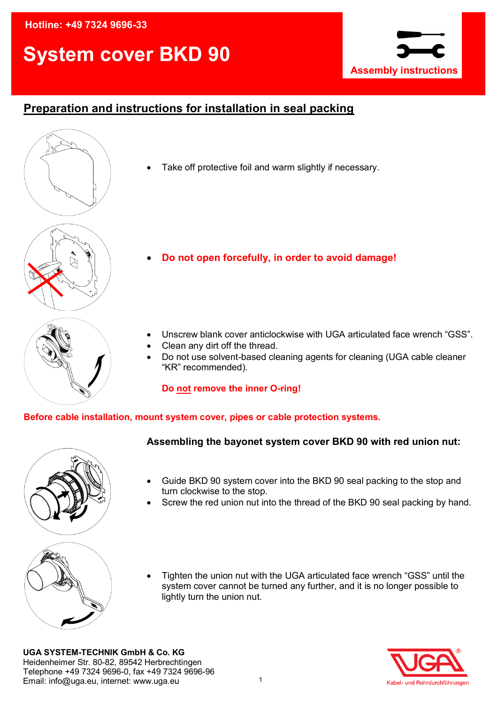## **Hotline: +49 7324 9696-33**

# **System cover BKD 90**



# **Preparation and instructions for installation in seal packing**

Take off protective foil and warm slightly if necessary.

- **Do not open forcefully, in order to avoid damage!**
- Unscrew blank cover anticlockwise with UGA articulated face wrench "GSS".
- Clean any dirt off the thread.
- Do not use solvent-based cleaning agents for cleaning (UGA cable cleaner "KR" recommended).

### **Do not remove the inner O-ring!**

### **Before cable installation, mount system cover, pipes or cable protection systems.**



- **Assembling the bayonet system cover BKD 90 with red union nut:**
- Guide BKD 90 system cover into the BKD 90 seal packing to the stop and turn clockwise to the stop.
- Screw the red union nut into the thread of the BKD 90 seal packing by hand.



 Tighten the union nut with the UGA articulated face wrench "GSS" until the system cover cannot be turned any further, and it is no longer possible to lightly turn the union nut.

**UGA SYSTEM-TECHNIK GmbH & Co. KG**  Heidenheimer Str. 80-82, 89542 Herbrechtingen Telephone +49 7324 9696-0, fax +49 7324 9696-96 Email: info@uga.eu, internet: www.uga.eu

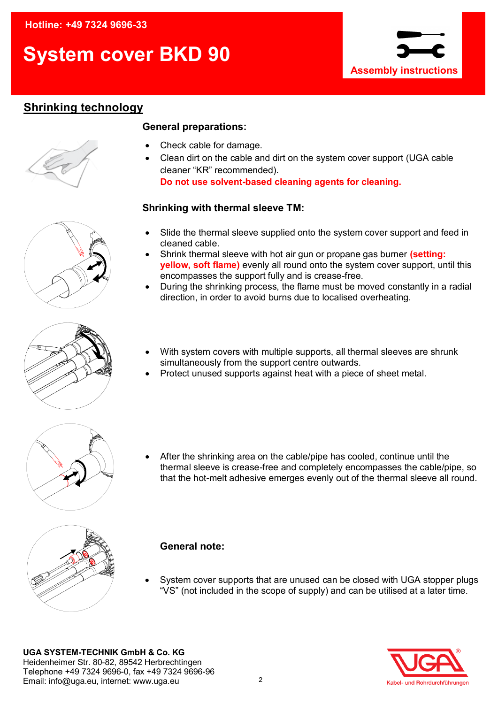# **System cover BKD 90**



# **Shrinking technology**



## **General preparations:**

- Check cable for damage.
- Clean dirt on the cable and dirt on the system cover support (UGA cable cleaner "KR" recommended).

**Do not use solvent-based cleaning agents for cleaning.**

## **Shrinking with thermal sleeve TM:**

- Slide the thermal sleeve supplied onto the system cover support and feed in cleaned cable.
- Shrink thermal sleeve with hot air gun or propane gas burner **(setting: yellow, soft flame)** evenly all round onto the system cover support, until this encompasses the support fully and is crease-free.
- During the shrinking process, the flame must be moved constantly in a radial direction, in order to avoid burns due to localised overheating.



- With system covers with multiple supports, all thermal sleeves are shrunk simultaneously from the support centre outwards.
- Protect unused supports against heat with a piece of sheet metal.



 After the shrinking area on the cable/pipe has cooled, continue until the thermal sleeve is crease-free and completely encompasses the cable/pipe, so that the hot-melt adhesive emerges evenly out of the thermal sleeve all round.



## **General note:**

 System cover supports that are unused can be closed with UGA stopper plugs "VS" (not included in the scope of supply) and can be utilised at a later time.

**UGA SYSTEM-TECHNIK GmbH & Co. KG**  Heidenheimer Str. 80-82, 89542 Herbrechtingen Telephone +49 7324 9696-0, fax +49 7324 9696-96 Email: info@uga.eu, internet: www.uga.eu

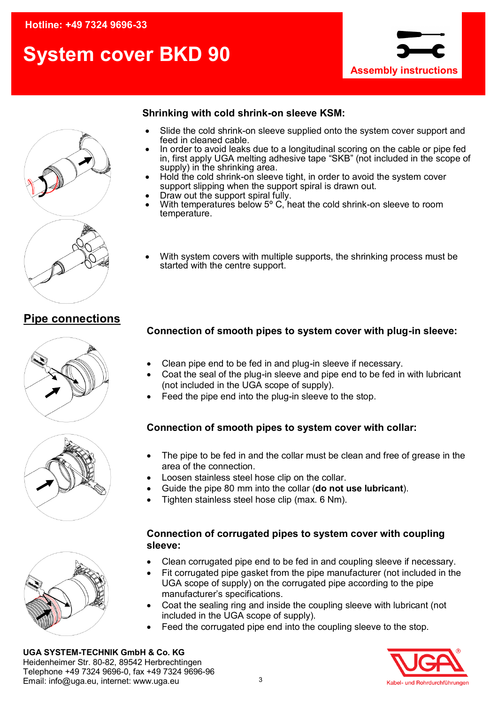# **System cover BKD 90**





## **Shrinking with cold shrink-on sleeve KSM:**

- Slide the cold shrink-on sleeve supplied onto the system cover support and feed in cleaned cable.
- In order to avoid leaks due to a longitudinal scoring on the cable or pipe fed in, first apply UGA melting adhesive tape "SKB" (not included in the scope of supply) in the shrinking area.
- Hold the cold shrink-on sleeve tight, in order to avoid the system cover support slipping when the support spiral is drawn out.
- Draw out the support spiral fully.
- With temperatures below 5° C, heat the cold shrink-on sleeve to room temperature.
- With system covers with multiple supports, the shrinking process must be started with the centre support.

## **Pipe connections**





- Clean pipe end to be fed in and plug-in sleeve if necessary.
- Coat the seal of the plug-in sleeve and pipe end to be fed in with lubricant (not included in the UGA scope of supply).
- Feed the pipe end into the plug-in sleeve to the stop.

## **Connection of smooth pipes to system cover with collar:**

- The pipe to be fed in and the collar must be clean and free of grease in the area of the connection.
- Loosen stainless steel hose clip on the collar.
- Guide the pipe 80 mm into the collar (**do not use lubricant**).
- Tighten stainless steel hose clip (max. 6 Nm).

## **Connection of corrugated pipes to system cover with coupling sleeve:**

- Clean corrugated pipe end to be fed in and coupling sleeve if necessary.
- Fit corrugated pipe gasket from the pipe manufacturer (not included in the UGA scope of supply) on the corrugated pipe according to the pipe manufacturer's specifications.
- Coat the sealing ring and inside the coupling sleeve with lubricant (not included in the UGA scope of supply).
- Feed the corrugated pipe end into the coupling sleeve to the stop.



**UGA SYSTEM-TECHNIK GmbH & Co. KG**  Heidenheimer Str. 80-82, 89542 Herbrechtingen Telephone +49 7324 9696-0, fax +49 7324 9696-96 Email: info@uga.eu, internet: www.uga.eu